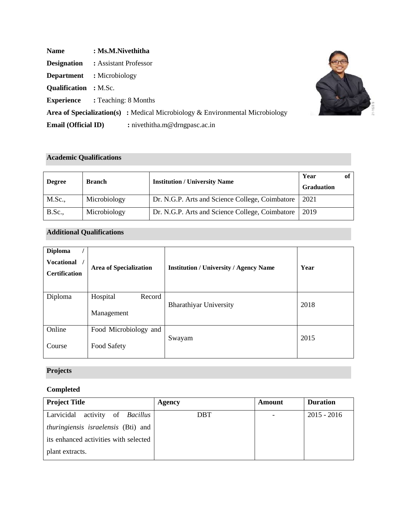| <b>Name</b>                  | : Ms.M.Nivethitha                                                                       |  |
|------------------------------|-----------------------------------------------------------------------------------------|--|
| <b>Designation</b>           | : Assistant Professor                                                                   |  |
| <b>Department</b>            | : Microbiology                                                                          |  |
| <b>Qualification</b> : M.Sc. |                                                                                         |  |
|                              | <b>Experience</b> : Teaching: 8 Months                                                  |  |
|                              | <b>Area of Specialization(s)</b> : Medical Microbiology $\&$ Environmental Microbiology |  |
| <b>Email (Official ID)</b>   | : nivethitha.m@drngpasc.ac.in                                                           |  |

C

21-1628 N

## **Academic Qualifications**

| <b>Degree</b> | <b>Branch</b> | <b>Institution / University Name</b>            | Year<br><b>Graduation</b> |  |
|---------------|---------------|-------------------------------------------------|---------------------------|--|
| M.Sc.,        | Microbiology  | Dr. N.G.P. Arts and Science College, Coimbatore | 2021                      |  |
| <b>B.Sc.</b>  | Microbiology  | Dr. N.G.P. Arts and Science College, Coimbatore | 2019                      |  |

## **Additional Qualifications**

| <b>Diploma</b><br><b>Vocational</b><br><b>Certification</b> | <b>Area of Specialization</b>        | <b>Institution / University / Agency Name</b> | Year |
|-------------------------------------------------------------|--------------------------------------|-----------------------------------------------|------|
| Diploma                                                     | Hospital<br>Record<br>Management     | <b>Bharathiyar University</b>                 | 2018 |
| Online<br>Course                                            | Food Microbiology and<br>Food Safety | Swayam                                        | 2015 |

# **Projects**

## **Completed**

| <b>Project Title</b>                       | Agency     | Amount | <b>Duration</b> |
|--------------------------------------------|------------|--------|-----------------|
| Larvicidal activity of <i>Bacillus</i>     | <b>DBT</b> |        | $2015 - 2016$   |
| <i>thuringiensis israelensis</i> (Bti) and |            |        |                 |
| its enhanced activities with selected      |            |        |                 |
| plant extracts.                            |            |        |                 |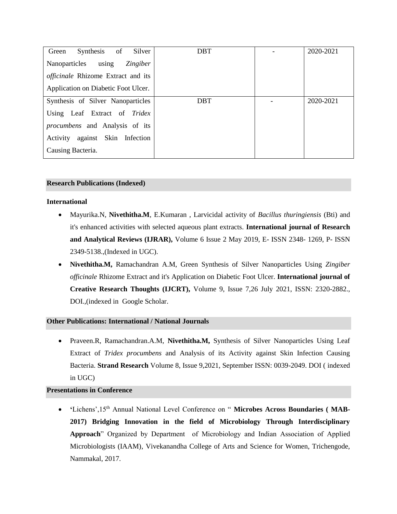| Synthesis of<br>Silver<br>Green        | <b>DBT</b> | 2020-2021 |
|----------------------------------------|------------|-----------|
| Nanoparticles using<br><i>Zingiber</i> |            |           |
| officinale Rhizome Extract and its     |            |           |
| Application on Diabetic Foot Ulcer.    |            |           |
| Synthesis of Silver Nanoparticles      | <b>DBT</b> | 2020-2021 |
| Using Leaf Extract of Tridex           |            |           |
| <i>procumbens</i> and Analysis of its  |            |           |
| Activity against Skin Infection        |            |           |
| Causing Bacteria.                      |            |           |

### **Research Publications (Indexed)**

### **International**

- Mayurika.N, **Nivethitha.M**, E.Kumaran , Larvicidal activity of *Bacillus thuringiensis* (Bti) and it's enhanced activities with selected aqueous plant extracts. **International journal of Research and Analytical Reviews (IJRAR),** Volume 6 Issue 2 May 2019, E- ISSN 2348- 1269, P- ISSN 2349-5138.,(Indexed in UGC).
- **Nivethitha.M,** Ramachandran A.M, Green Synthesis of Silver Nanoparticles Using *Zingiber officinale* Rhizome Extract and it's Application on Diabetic Foot Ulcer. **International journal of Creative Research Thoughts (IJCRT),** Volume 9, Issue 7,26 July 2021, ISSN: 2320-2882., DOI.,(indexed in Google Scholar.

## **Other Publications: International / National Journals**

• Praveen.R, Ramachandran.A.M, **Nivethitha.M,** Synthesis of Silver Nanoparticles Using Leaf Extract of *Tridex procumbens* and Analysis of its Activity against Skin Infection Causing Bacteria. **Strand Research** Volume 8, Issue 9,2021, September ISSN: 0039-2049. DOI ( indexed in UGC)

## **Presentations in Conference**

'Lichens', 15<sup>th</sup> Annual National Level Conference on " Microbes Across Boundaries (MAB-**2017) Bridging Innovation in the field of Microbiology Through Interdisciplinary Approach**" Organized by Department of Microbiology and Indian Association of Applied Microbiologists (IAAM), Vivekanandha College of Arts and Science for Women, Trichengode, Nammakal, 2017.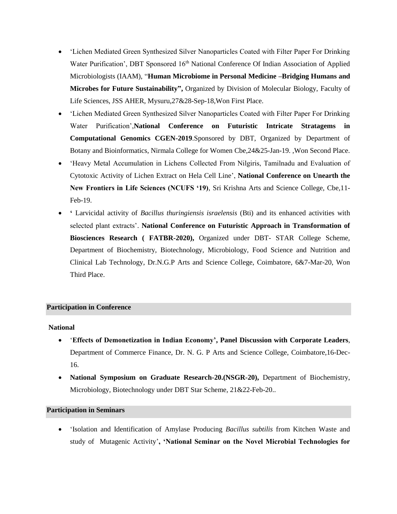- 'Lichen Mediated Green Synthesized Silver Nanoparticles Coated with Filter Paper For Drinking Water Purification', DBT Sponsored 16<sup>th</sup> National Conference Of Indian Association of Applied Microbiologists (IAAM), "**Human Microbiome in Personal Medicine –Bridging Humans and Microbes for Future Sustainability",** Organized by Division of Molecular Biology, Faculty of Life Sciences, JSS AHER, Mysuru,27&28-Sep-18,Won First Place.
- 'Lichen Mediated Green Synthesized Silver Nanoparticles Coated with Filter Paper For Drinking Water Purification',**National Conference on Futuristic Intricate Stratagems in Computational Genomics CGEN-2019**.Sponsored by DBT, Organized by Department of Botany and Bioinformatics, Nirmala College for Women Cbe,24&25-Jan-19. ,Won Second Place.
- 'Heavy Metal Accumulation in Lichens Collected From Nilgiris, Tamilnadu and Evaluation of Cytotoxic Activity of Lichen Extract on Hela Cell Line', **National Conference on Unearth the New Frontiers in Life Sciences (NCUFS '19), Sri Krishna Arts and Science College, Cbe, 11-**Feb-19.
- **'** Larvicidal activity of *Bacillus thuringiensis israelensis* (Bti) and its enhanced activities with selected plant extracts'. **National Conference on Futuristic Approach in Transformation of Biosciences Research ( FATBR-2020),** Organized under DBT- STAR College Scheme, Department of Biochemistry, Biotechnology, Microbiology, Food Science and Nutrition and Clinical Lab Technology, Dr.N.G.P Arts and Science College, Coimbatore, 6&7-Mar-20, Won Third Place.

## **Participation in Conference**

#### **National**

- '**Effects of Demonetization in Indian Economy', Panel Discussion with Corporate Leaders**, Department of Commerce Finance, Dr. N. G. P Arts and Science College, Coimbatore,16-Dec-16.
- **National Symposium on Graduate Research-20.(NSGR-20),** Department of Biochemistry, Microbiology, Biotechnology under DBT Star Scheme, 21&22-Feb-20..

#### **Participation in Seminars**

• 'Isolation and Identification of Amylase Producing *Bacillus subtilis* from Kitchen Waste and study of Mutagenic Activity'**, 'National Seminar on the Novel Microbial Technologies for**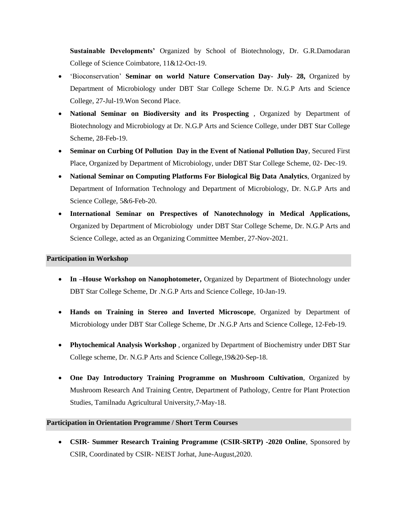**Sustainable Developments'** Organized by School of Biotechnology, Dr. G.R.Damodaran College of Science Coimbatore, 11&12-Oct-19.

- 'Bioconservation' **Seminar on world Nature Conservation Day- July- 28,** Organized by Department of Microbiology under DBT Star College Scheme Dr. N.G.P Arts and Science College, 27-Jul-19.Won Second Place.
- **National Seminar on Biodiversity and its Prospecting** , Organized by Department of Biotechnology and Microbiology at Dr. N.G.P Arts and Science College, under DBT Star College Scheme, 28-Feb-19.
- **Seminar on Curbing Of Pollution Day in the Event of National Pollution Day**, Secured First Place, Organized by Department of Microbiology, under DBT Star College Scheme, 02- Dec-19.
- **National Seminar on Computing Platforms For Biological Big Data Analytics**, Organized by Department of Information Technology and Department of Microbiology, Dr. N.G.P Arts and Science College, 5&6-Feb-20.
- **International Seminar on Prespectives of Nanotechnology in Medical Applications,**  Organized by Department of Microbiology under DBT Star College Scheme, Dr. N.G.P Arts and Science College, acted as an Organizing Committee Member, 27-Nov-2021.

#### **Participation in Workshop**

- **In –House Workshop on Nanophotometer,** Organized by Department of Biotechnology under DBT Star College Scheme, Dr .N.G.P Arts and Science College, 10-Jan-19.
- **Hands on Training in Stereo and Inverted Microscope**, Organized by Department of Microbiology under DBT Star College Scheme, Dr .N.G.P Arts and Science College, 12-Feb-19.
- **Phytochemical Analysis Workshop** , organized by Department of Biochemistry under DBT Star College scheme, Dr. N.G.P Arts and Science College,19&20-Sep-18.
- **One Day Introductory Training Programme on Mushroom Cultivation**, Organized by Mushroom Research And Training Centre, Department of Pathology, Centre for Plant Protection Studies, Tamilnadu Agricultural University,7-May-18.

## **Participation in Orientation Programme / Short Term Courses**

• **CSIR- Summer Research Training Programme (CSIR-SRTP) -2020 Online**, Sponsored by CSIR, Coordinated by CSIR- NEIST Jorhat, June-August,2020.